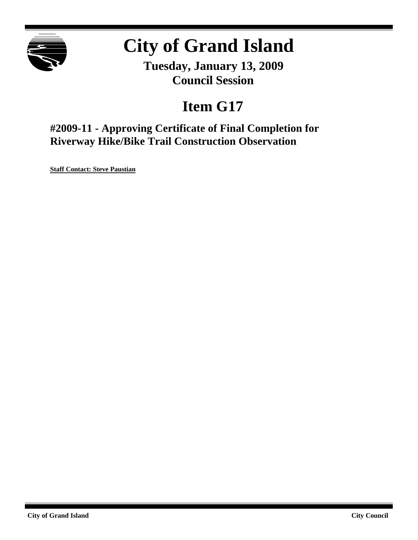

# **City of Grand Island**

**Tuesday, January 13, 2009 Council Session**

## **Item G17**

**#2009-11 - Approving Certificate of Final Completion for Riverway Hike/Bike Trail Construction Observation**

**Staff Contact: Steve Paustian**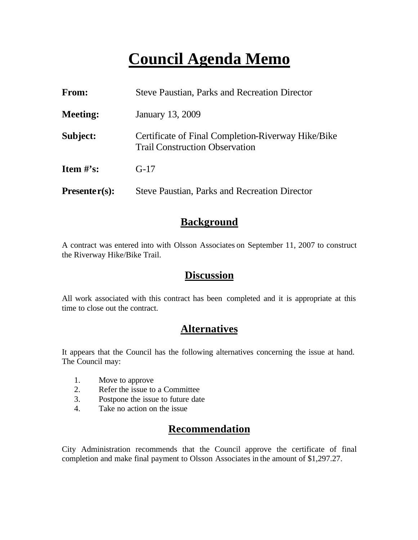## **Council Agenda Memo**

| <b>From:</b>    | <b>Steve Paustian, Parks and Recreation Director</b>                                        |  |
|-----------------|---------------------------------------------------------------------------------------------|--|
| <b>Meeting:</b> | January 13, 2009                                                                            |  |
| Subject:        | Certificate of Final Completion-Riverway Hike/Bike<br><b>Trail Construction Observation</b> |  |
| Item $\#$ 's:   | $G-17$                                                                                      |  |
| $Presenter(s):$ | <b>Steve Paustian, Parks and Recreation Director</b>                                        |  |

### **Background**

A contract was entered into with Olsson Associates on September 11, 2007 to construct the Riverway Hike/Bike Trail.

## **Discussion**

All work associated with this contract has been completed and it is appropriate at this time to close out the contract.

## **Alternatives**

It appears that the Council has the following alternatives concerning the issue at hand. The Council may:

- 1. Move to approve
- 2. Refer the issue to a Committee
- 3. Postpone the issue to future date
- 4. Take no action on the issue

## **Recommendation**

City Administration recommends that the Council approve the certificate of final completion and make final payment to Olsson Associates in the amount of \$1,297.27.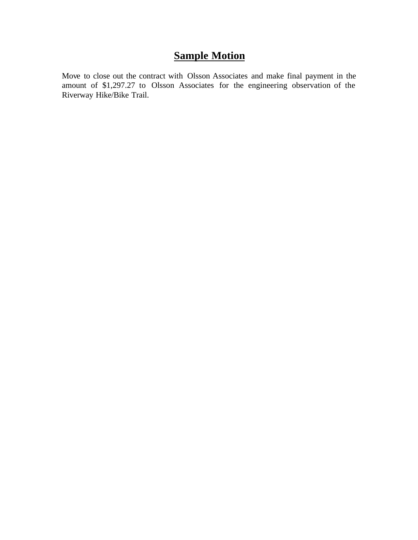## **Sample Motion**

Move to close out the contract with Olsson Associates and make final payment in the amount of \$1,297.27 to Olsson Associates for the engineering observation of the Riverway Hike/Bike Trail.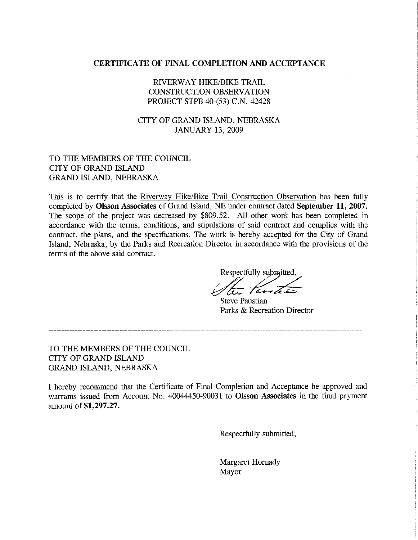#### **CERTIFICATE OF FINAL COMPLETION AND ACCEPTANCE**

#### RIVERWAY HIKE/BIKE TRAIL **CONSTRUCTION OBSERVATION** PROJECT STPB 40-(53) C.N. 42428

#### CITY OF GRAND ISLAND, NEBRASKA **JANUARY 13, 2009**

#### TO THE MEMBERS OF THE COUNCIL **CITY OF GRAND ISLAND** GRAND ISLAND, NEBRASKA

This is to certify that the Riverway Hike/Bike Trail Construction Observation has been fully completed by Olsson Associates of Grand Island, NE under contract dated September 11, 2007. The scope of the project was decreased by \$809.52. All other work has been completed in accordance with the terms, conditions, and stipulations of said contract and complies with the contract, the plans, and the specifications. The work is hereby accepted for the City of Grand Island, Nebraska, by the Parks and Recreation Director in accordance with the provisions of the terms of the above said contract.

Respectfully submitted,

**Steve Paustian** Parks & Recreation Director

TO THE MEMBERS OF THE COUNCIL CITY OF GRAND ISLAND

**GRAND ISLAND, NEBRASKA** 

I hereby recommend that the Certificate of Final Completion and Acceptance be approved and warrants issued from Account No. 40044450-90031 to Olsson Associates in the final payment amount of \$1,297.27.

Respectfully submitted,

Margaret Hornady Mayor